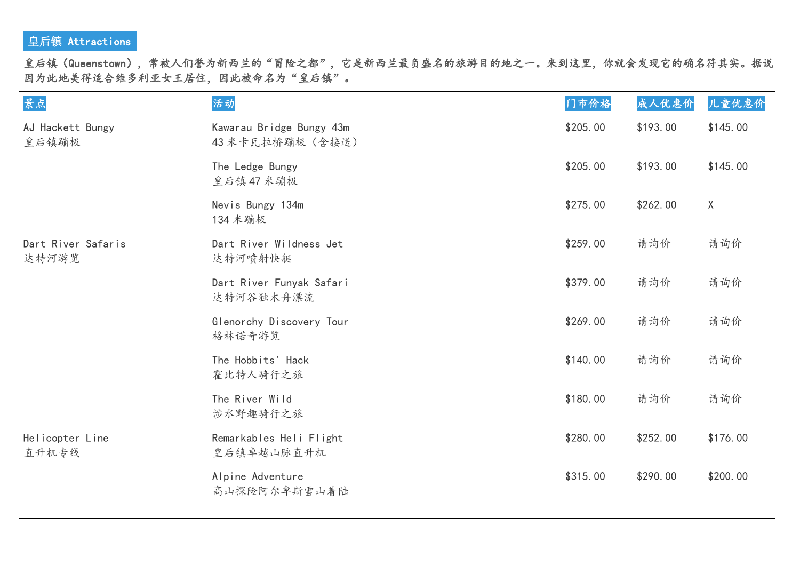## 皇后镇 Attractions

皇后镇(Queenstown),常被人们誉为新西兰的"冒险之都",它是新西兰最负盛名的旅游目的地之一。来到这里,你就会发现它的确名符其实。据说 因为此地美得适合维多利亚女王居住,因此被命名为"皇后镇"。

| 景点                          | 活动                                           | 门市价格     | 成人优惠价    | 儿童优惠价    |
|-----------------------------|----------------------------------------------|----------|----------|----------|
| AJ Hackett Bungy<br>皇后镇蹦极   | Kawarau Bridge Bungy 43m<br>43 米卡瓦拉桥蹦极 (含接送) | \$205.00 | \$193.00 | \$145.00 |
|                             | The Ledge Bungy<br>皇后镇47米蹦极                  | \$205.00 | \$193.00 | \$145.00 |
|                             | Nevis Bungy 134m<br>134 米蹦极                  | \$275.00 | \$262.00 | $\sf X$  |
| Dart River Safaris<br>达特河游览 | Dart River Wildness Jet<br>达特河喷射快艇           | \$259.00 | 请询价      | 请询价      |
|                             | Dart River Funyak Safari<br>达特河谷独木舟漂流        | \$379.00 | 请询价      | 请询价      |
|                             | Glenorchy Discovery Tour<br>格林诺奇游览           | \$269.00 | 请询价      | 请询价      |
|                             | The Hobbits' Hack<br>霍比特人骑行之旅                | \$140.00 | 请询价      | 请询价      |
|                             | The River Wild<br>涉水野趣骑行之旅                   | \$180.00 | 请询价      | 请询价      |
| Helicopter Line<br>直升机专线    | Remarkables Heli Flight<br>皇后镇卓越山脉直升机        | \$280.00 | \$252.00 | \$176.00 |
|                             | Alpine Adventure<br>高山探险阿尔卑斯雪山着陆             | \$315.00 | \$290.00 | \$200.00 |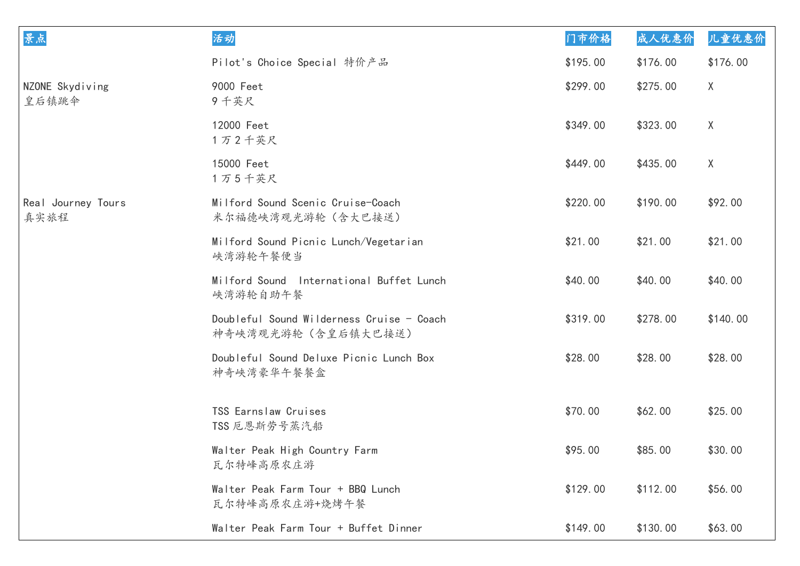| 景点                         | 活动                                                               | 门市价格     | 成人优惠价    | 儿童优惠价    |
|----------------------------|------------------------------------------------------------------|----------|----------|----------|
|                            | Pilot's Choice Special 特价产品                                      | \$195.00 | \$176.00 | \$176.00 |
| NZONE Skydiving<br>皇后镇跳伞   | 9000 Feet<br>9千英尺                                                | \$299.00 | \$275.00 | X        |
|                            | 12000 Feet<br>1万2千英尺                                             | \$349.00 | \$323.00 | $\sf X$  |
|                            | 15000 Feet<br>1万5千英尺                                             | \$449.00 | \$435.00 | X        |
| Real Journey Tours<br>真实旅程 | Milford Sound Scenic Cruise-Coach<br>米尔福德峡湾观光游轮(含大巴接送)           | \$220.00 | \$190.00 | \$92.00  |
|                            | Milford Sound Picnic Lunch/Vegetarian<br>峡湾游轮午餐便当                | \$21.00  | \$21.00  | \$21.00  |
|                            | Milford Sound International Buffet Lunch<br>峡湾游轮自助午餐             | \$40.00  | \$40.00  | \$40.00  |
|                            | Doubleful Sound Wilderness Cruise - Coach<br>神奇峡湾观光游轮 (含皇后镇大巴接送) | \$319.00 | \$278.00 | \$140.00 |
|                            | Doubleful Sound Deluxe Picnic Lunch Box<br>神奇峡湾豪华午餐餐盒            | \$28.00  | \$28.00  | \$28.00  |
|                            | TSS Earnslaw Cruises<br>TSS 厄恩斯劳号蒸汽船                             | \$70.00  | \$62.00  | \$25.00  |
|                            | Walter Peak High Country Farm<br>瓦尔特峰高原农庄游                       | \$95.00  | \$85.00  | \$30.00  |
|                            | Walter Peak Farm Tour + BBQ Lunch<br>瓦尔特峰高原农庄游+烧烤午餐              | \$129.00 | \$112.00 | \$56.00  |
|                            | Walter Peak Farm Tour + Buffet Dinner                            | \$149.00 | \$130.00 | \$63.00  |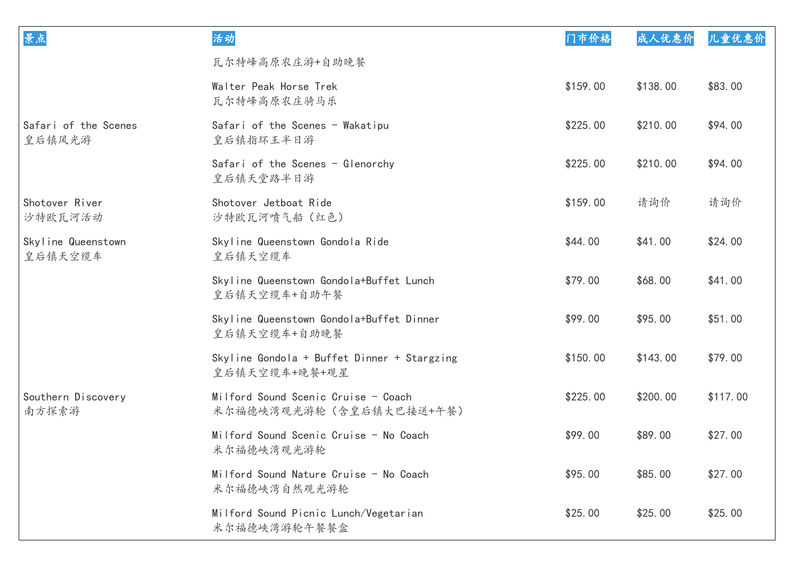| 景点                             | 活动                                                             | 门市价格     | 成人优惠价    | 儿童优惠价    |
|--------------------------------|----------------------------------------------------------------|----------|----------|----------|
|                                | 瓦尔特峰高原农庄游+自助晚餐                                                 |          |          |          |
|                                | Walter Peak Horse Trek<br>瓦尔特峰高原农庄骑马乐                          | \$159.00 | \$138.00 | \$83.00  |
| Safari of the Scenes<br>皇后镇风光游 | Safari of the Scenes - Wakatipu<br>皇后镇指环王半日游                   | \$225.00 | \$210.00 | \$94.00  |
|                                | Safari of the Scenes - Glenorchy<br>皇后镇天堂路半日游                  | \$225.00 | \$210.00 | \$94.00  |
| Shotover River<br>沙特欧瓦河活动      | Shotover Jetboat Ride<br>沙特欧瓦河喷气船 (红色)                         | \$159.00 | 请询价      | 请询价      |
| Skyline Queenstown<br>皇后镇天空缆车  | Skyline Queenstown Gondola Ride<br>皇后镇天空缆车                     | \$44.00  | \$41.00  | \$24.00  |
|                                | Skyline Queenstown Gondola+Buffet Lunch<br>皇后镇天空缆车+自助午餐        | \$79.00  | \$68.00  | \$41.00  |
|                                | Skyline Queenstown Gondola+Buffet Dinner<br>皇后镇天空缆车+自助晚餐       | \$99.00  | \$95.00  | \$51.00  |
|                                | Skyline Gondola + Buffet Dinner + Stargzing<br>皇后镇天空缆车+晚餐+观星   | \$150.00 | \$143.00 | \$79.00  |
| Southern Discovery<br>南方探索游    | Milford Sound Scenic Cruise - Coach<br>米尔福德峡湾观光游轮(含皇后镇大巴接送+午餐) | \$225.00 | \$200.00 | \$117.00 |
|                                | Milford Sound Scenic Cruise - No Coach<br>米尔福德峡湾观光游轮           | \$99.00  | \$89.00  | \$27.00  |
|                                | Milford Sound Nature Cruise - No Coach<br>米尔福德峡湾自然观光游轮         | \$95.00  | \$85.00  | \$27.00  |
|                                | Milford Sound Picnic Lunch/Vegetarian<br>米尔福德峡湾游轮午餐餐盒          | \$25.00  | \$25.00  | \$25.00  |